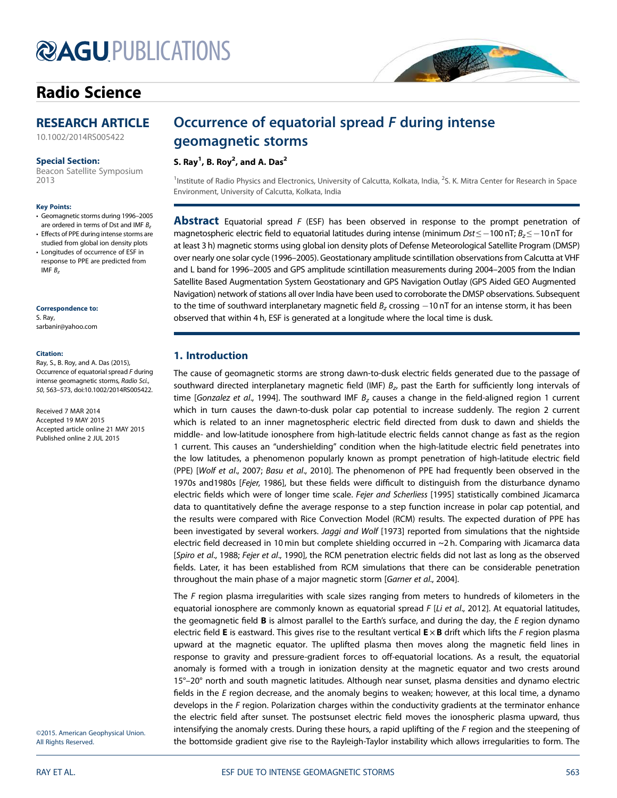# **@AGUPUBLICATIONS**

# Radio Science



10.1002/2014RS005422

### Special Section:

Beacon Satellite Symposium 2013

#### Key Points:

- Geomagnetic storms during 1996–2005 are ordered in terms of Dst and IMF  $B_z$
- Effects of PPE during intense storms are studied from global ion density plots
- Longitudes of occurrence of ESF in response to PPE are predicted from IMF  $B<sub>z</sub>$

#### Correspondence to:

S. Ray, sarbanir@yahoo.com

#### Citation:

Ray, S., B. Roy, and A. Das (2015), Occurrence of equatorial spread F during intense geomagnetic storms, Radio Sci., 50, 563–573, doi:10.1002/2014RS005422.

Received 7 MAR 2014 Accepted 19 MAY 2015 Accepted article online 21 MAY 2015 Published online 2 JUL 2015

# Occurrence of equatorial spread F during intense geomagnetic storms

S. Ray<sup>1</sup>, B. Roy<sup>2</sup>, and A. Das<sup>2</sup>

<sup>1</sup>Institute of Radio Physics and Electronics, University of Calcutta, Kolkata, India, <sup>2</sup>S. K. Mitra Center for Research in Space Environment, University of Calcutta, Kolkata, India

**MAGE** 

**Abstract** Equatorial spread  $F$  (ESF) has been observed in response to the prompt penetration of magnetospheric electric field to equatorial latitudes during intense (minimum  $Dst \le -100$  nT;  $B<sub>z</sub> \le -10$  nT for at least 3 h) magnetic storms using global ion density plots of Defense Meteorological Satellite Program (DMSP) over nearly one solar cycle (1996–2005). Geostationary amplitude scintillation observations from Calcutta at VHF and L band for 1996–2005 and GPS amplitude scintillation measurements during 2004–2005 from the Indian Satellite Based Augmentation System Geostationary and GPS Navigation Outlay (GPS Aided GEO Augmented Navigation) network of stations all over India have been used to corroborate the DMSP observations. Subsequent to the time of southward interplanetary magnetic field  $B<sub>z</sub>$  crossing  $-10$  nT for an intense storm, it has been observed that within 4 h, ESF is generated at a longitude where the local time is dusk.

# 1. Introduction

The cause of geomagnetic storms are strong dawn-to-dusk electric fields generated due to the passage of southward directed interplanetary magnetic field (IMF)  $B_{z}$ , past the Earth for sufficiently long intervals of time [Gonzalez et al., 1994]. The southward IMF  $B<sub>z</sub>$  causes a change in the field-aligned region 1 current which in turn causes the dawn-to-dusk polar cap potential to increase suddenly. The region 2 current which is related to an inner magnetospheric electric field directed from dusk to dawn and shields the middle- and low-latitude ionosphere from high-latitude electric fields cannot change as fast as the region 1 current. This causes an "undershielding" condition when the high-latitude electric field penetrates into the low latitudes, a phenomenon popularly known as prompt penetration of high-latitude electric field (PPE) [Wolf et al., 2007; Basu et al., 2010]. The phenomenon of PPE had frequently been observed in the 1970s and1980s [Fejer, 1986], but these fields were difficult to distinguish from the disturbance dynamo electric fields which were of longer time scale. Fejer and Scherliess [1995] statistically combined Jicamarca data to quantitatively define the average response to a step function increase in polar cap potential, and the results were compared with Rice Convection Model (RCM) results. The expected duration of PPE has been investigated by several workers. Jaggi and Wolf [1973] reported from simulations that the nightside electric field decreased in 10 min but complete shielding occurred in ~2 h. Comparing with Jicamarca data [Spiro et al., 1988; Fejer et al., 1990], the RCM penetration electric fields did not last as long as the observed fields. Later, it has been established from RCM simulations that there can be considerable penetration throughout the main phase of a major magnetic storm [Garner et al., 2004].

The  $F$  region plasma irregularities with scale sizes ranging from meters to hundreds of kilometers in the equatorial ionosphere are commonly known as equatorial spread F [Li et al., 2012]. At equatorial latitudes, the geomagnetic field  $B$  is almost parallel to the Earth's surface, and during the day, the  $E$  region dynamo electric field **E** is eastward. This gives rise to the resultant vertical  $E \times B$  drift which lifts the F region plasma upward at the magnetic equator. The uplifted plasma then moves along the magnetic field lines in response to gravity and pressure-gradient forces to off-equatorial locations. As a result, the equatorial anomaly is formed with a trough in ionization density at the magnetic equator and two crests around 15°–20° north and south magnetic latitudes. Although near sunset, plasma densities and dynamo electric fields in the  $E$  region decrease, and the anomaly begins to weaken; however, at this local time, a dynamo develops in the F region. Polarization charges within the conductivity gradients at the terminator enhance the electric field after sunset. The postsunset electric field moves the ionospheric plasma upward, thus intensifying the anomaly crests. During these hours, a rapid uplifting of the F region and the steepening of the bottomside gradient give rise to the Rayleigh-Taylor instability which allows irregularities to form. The

©2015. American Geophysical Union. All Rights Reserved.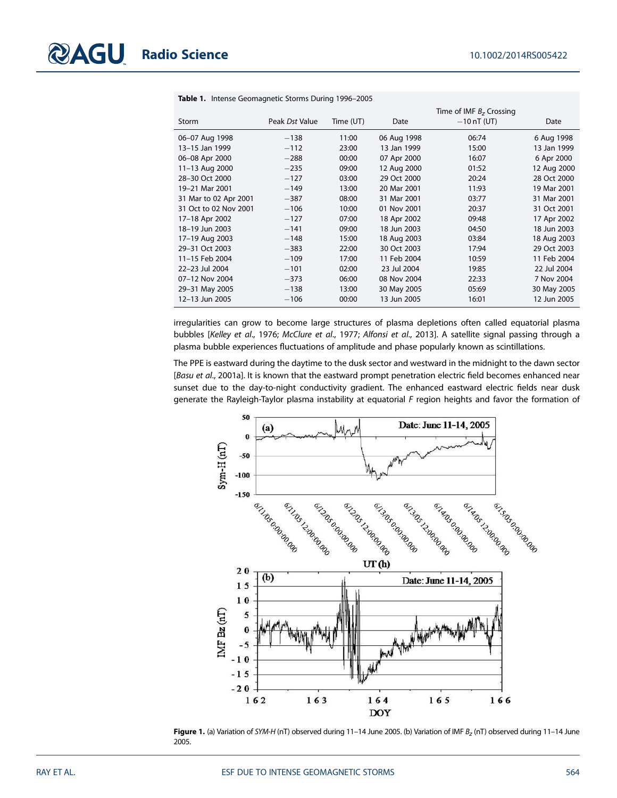|                       |                |           |             | Time of IMF $Bz$ Crossing |             |
|-----------------------|----------------|-----------|-------------|---------------------------|-------------|
| Storm                 | Peak Dst Value | Time (UT) | Date        | $-10$ nT (UT)             | Date        |
| 06-07 Aug 1998        | $-138$         | 11:00     | 06 Aug 1998 | 06:74                     | 6 Aug 1998  |
| 13-15 Jan 1999        | $-112$         | 23:00     | 13 Jan 1999 | 15:00                     | 13 Jan 1999 |
| 06-08 Apr 2000        | $-288$         | 00:00     | 07 Apr 2000 | 16:07                     | 6 Apr 2000  |
| 11-13 Aug 2000        | $-235$         | 09:00     | 12 Aug 2000 | 01:52                     | 12 Aug 2000 |
| 28-30 Oct 2000        | $-127$         | 03:00     | 29 Oct 2000 | 20:24                     | 28 Oct 2000 |
| 19-21 Mar 2001        | $-149$         | 13:00     | 20 Mar 2001 | 11:93                     | 19 Mar 2001 |
| 31 Mar to 02 Apr 2001 | $-387$         | 08:00     | 31 Mar 2001 | 03:77                     | 31 Mar 2001 |
| 31 Oct to 02 Nov 2001 | $-106$         | 10:00     | 01 Nov 2001 | 20:37                     | 31 Oct 2001 |
| 17-18 Apr 2002        | $-127$         | 07:00     | 18 Apr 2002 | 09:48                     | 17 Apr 2002 |
| 18-19 Jun 2003        | $-141$         | 09:00     | 18 Jun 2003 | 04:50                     | 18 Jun 2003 |
| 17-19 Aug 2003        | $-148$         | 15:00     | 18 Aug 2003 | 03:84                     | 18 Aug 2003 |
| 29-31 Oct 2003        | $-383$         | 22:00     | 30 Oct 2003 | 17:94                     | 29 Oct 2003 |
| 11-15 Feb 2004        | $-109$         | 17:00     | 11 Feb 2004 | 10:59                     | 11 Feb 2004 |
| 22-23 Jul 2004        | $-101$         | 02:00     | 23 Jul 2004 | 19:85                     | 22 Jul 2004 |
| 07-12 Nov 2004        | $-373$         | 06:00     | 08 Nov 2004 | 22:33                     | 7 Nov 2004  |
| 29-31 May 2005        | $-138$         | 13:00     | 30 May 2005 | 05:69                     | 30 May 2005 |
| 12-13 Jun 2005        | $-106$         | 00:00     | 13 Jun 2005 | 16:01                     | 12 Jun 2005 |

Table 1. Intense Geomagnetic Storms During 1996–2005

irregularities can grow to become large structures of plasma depletions often called equatorial plasma bubbles [Kelley et al., 1976; McClure et al., 1977; Alfonsi et al., 2013]. A satellite signal passing through a plasma bubble experiences fluctuations of amplitude and phase popularly known as scintillations.

The PPE is eastward during the daytime to the dusk sector and westward in the midnight to the dawn sector [Basu et al., 2001a]. It is known that the eastward prompt penetration electric field becomes enhanced near sunset due to the day-to-night conductivity gradient. The enhanced eastward electric fields near dusk generate the Rayleigh-Taylor plasma instability at equatorial F region heights and favor the formation of



**Figure 1.** (a) Variation of SYM-H (nT) observed during 11–14 June 2005. (b) Variation of IMF  $B_z$  (nT) observed during 11–14 June 2005.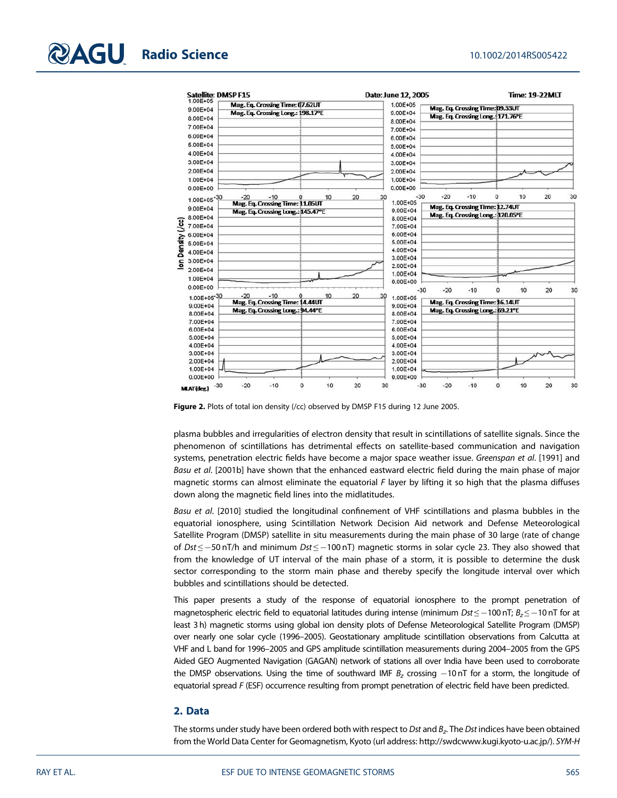

Figure 2. Plots of total ion density (/cc) observed by DMSP F15 during 12 June 2005.

plasma bubbles and irregularities of electron density that result in scintillations of satellite signals. Since the phenomenon of scintillations has detrimental effects on satellite-based communication and navigation systems, penetration electric fields have become a major space weather issue. Greenspan et al. [1991] and Basu et al. [2001b] have shown that the enhanced eastward electric field during the main phase of major magnetic storms can almost eliminate the equatorial F layer by lifting it so high that the plasma diffuses down along the magnetic field lines into the midlatitudes.

Basu et al. [2010] studied the longitudinal confinement of VHF scintillations and plasma bubbles in the equatorial ionosphere, using Scintillation Network Decision Aid network and Defense Meteorological Satellite Program (DMSP) satellite in situ measurements during the main phase of 30 large (rate of change of Dst ≤ -50 nT/h and minimum Dst ≤ -100 nT) magnetic storms in solar cycle 23. They also showed that from the knowledge of UT interval of the main phase of a storm, it is possible to determine the dusk sector corresponding to the storm main phase and thereby specify the longitude interval over which bubbles and scintillations should be detected.

This paper presents a study of the response of equatorial ionosphere to the prompt penetration of magnetospheric electric field to equatorial latitudes during intense (minimum  $Dst \le -100$  nT;  $B<sub>z</sub> \le -10$  nT for at least 3 h) magnetic storms using global ion density plots of Defense Meteorological Satellite Program (DMSP) over nearly one solar cycle (1996–2005). Geostationary amplitude scintillation observations from Calcutta at VHF and L band for 1996–2005 and GPS amplitude scintillation measurements during 2004–2005 from the GPS Aided GEO Augmented Navigation (GAGAN) network of stations all over India have been used to corroborate the DMSP observations. Using the time of southward IMF  $B<sub>z</sub>$  crossing  $-10$  nT for a storm, the longitude of equatorial spread F (ESF) occurrence resulting from prompt penetration of electric field have been predicted.

# 2. Data

The storms under study have been ordered both with respect to *Dst* and  $\emph{B}_{x}$ . The *Dst* indices have been obtained from the World Data Center for Geomagnetism, Kyoto (url address: http://swdcwww.kugi.kyoto-u.ac.jp/). SYM-H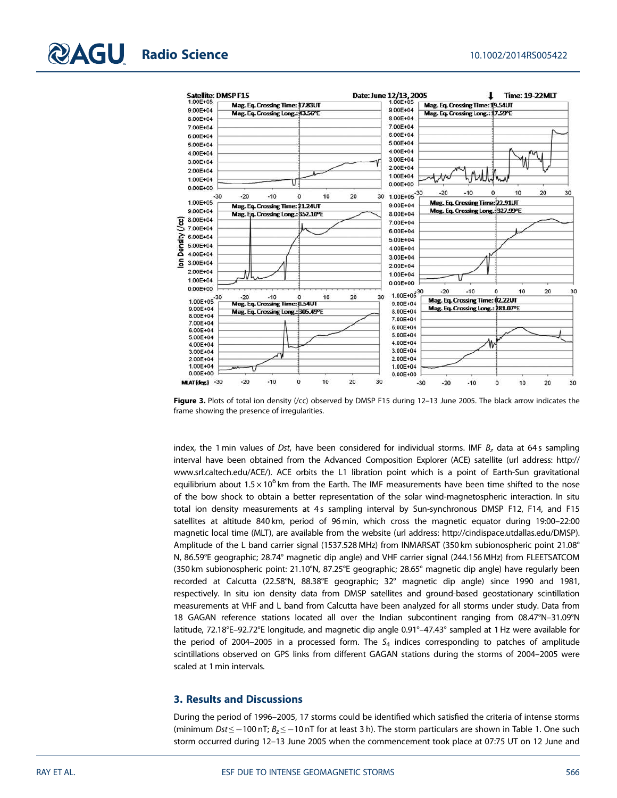

Figure 3. Plots of total ion density (/cc) observed by DMSP F15 during 12-13 June 2005. The black arrow indicates the frame showing the presence of irregularities.

index, the 1 min values of Dst, have been considered for individual storms. IMF  $B<sub>z</sub>$  data at 64s sampling interval have been obtained from the Advanced Composition Explorer (ACE) satellite (url address: http:// www.srl.caltech.edu/ACE/). ACE orbits the L1 libration point which is a point of Earth-Sun gravitational equilibrium about 1.5 $\times$ 10 $^6$ km from the Earth. The IMF measurements have been time shifted to the nose of the bow shock to obtain a better representation of the solar wind-magnetospheric interaction. In situ total ion density measurements at 4s sampling interval by Sun-synchronous DMSP F12, F14, and F15 satellites at altitude 840 km, period of 96 min, which cross the magnetic equator during 19:00–22:00 magnetic local time (MLT), are available from the website (url address: http://cindispace.utdallas.edu/DMSP). Amplitude of the L band carrier signal (1537.528 MHz) from INMARSAT (350 km subionospheric point 21.08° N, 86.59°E geographic; 28.74° magnetic dip angle) and VHF carrier signal (244.156 MHz) from FLEETSATCOM (350 km subionospheric point: 21.10°N, 87.25°E geographic; 28.65° magnetic dip angle) have regularly been recorded at Calcutta (22.58°N, 88.38°E geographic; 32° magnetic dip angle) since 1990 and 1981, respectively. In situ ion density data from DMSP satellites and ground-based geostationary scintillation measurements at VHF and L band from Calcutta have been analyzed for all storms under study. Data from 18 GAGAN reference stations located all over the Indian subcontinent ranging from 08.47°N–31.09°N latitude, 72.18°E–92.72°E longitude, and magnetic dip angle 0.91°–47.43° sampled at 1 Hz were available for the period of 2004–2005 in a processed form. The  $S_4$  indices corresponding to patches of amplitude scintillations observed on GPS links from different GAGAN stations during the storms of 2004–2005 were scaled at 1 min intervals.

# 3. Results and Discussions

During the period of 1996–2005, 17 storms could be identified which satisfied the criteria of intense storms (minimum Dst  $\leq -100$  nT;  $B_{z} \leq -10$  nT for at least 3 h). The storm particulars are shown in Table 1. One such storm occurred during 12–13 June 2005 when the commencement took place at 07:75 UT on 12 June and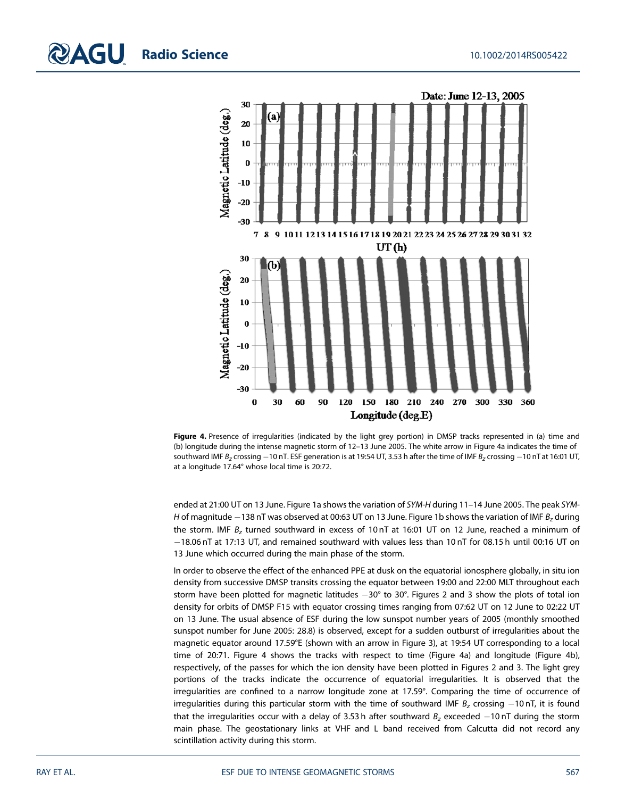

Figure 4. Presence of irregularities (indicated by the light grey portion) in DMSP tracks represented in (a) time and (b) longitude during the intense magnetic storm of 12–13 June 2005. The white arrow in Figure 4a indicates the time of southward IMF  $B_z$  crossing -10 nT. ESF generation is at 19:54 UT, 3.53 h after the time of IMF  $B_z$  crossing -10 nT at 16:01 UT, at a longitude 17.64° whose local time is 20:72.

ended at 21:00 UT on 13 June. Figure 1a shows the variation of SYM-H during 11–14 June 2005. The peak SYM-H of magnitude  $-138$  nT was observed at 00:63 UT on 13 June. Figure 1b shows the variation of IMF  $B_z$  during the storm. IMF  $B_z$  turned southward in excess of 10 nT at 16:01 UT on 12 June, reached a minimum of 18.06 nT at 17:13 UT, and remained southward with values less than 10 nT for 08.15 h until 00:16 UT on 13 June which occurred during the main phase of the storm.

In order to observe the effect of the enhanced PPE at dusk on the equatorial ionosphere globally, in situ ion density from successive DMSP transits crossing the equator between 19:00 and 22:00 MLT throughout each storm have been plotted for magnetic latitudes  $-30^{\circ}$  to 30°. Figures 2 and 3 show the plots of total ion density for orbits of DMSP F15 with equator crossing times ranging from 07:62 UT on 12 June to 02:22 UT on 13 June. The usual absence of ESF during the low sunspot number years of 2005 (monthly smoothed sunspot number for June 2005: 28.8) is observed, except for a sudden outburst of irregularities about the magnetic equator around 17.59°E (shown with an arrow in Figure 3), at 19:54 UT corresponding to a local time of 20:71. Figure 4 shows the tracks with respect to time (Figure 4a) and longitude (Figure 4b), respectively, of the passes for which the ion density have been plotted in Figures 2 and 3. The light grey portions of the tracks indicate the occurrence of equatorial irregularities. It is observed that the irregularities are confined to a narrow longitude zone at 17.59°. Comparing the time of occurrence of irregularities during this particular storm with the time of southward IMF  $B<sub>z</sub>$  crossing  $-10$  nT, it is found that the irregularities occur with a delay of 3.53 h after southward  $B<sub>z</sub>$  exceeded  $-10$  nT during the storm main phase. The geostationary links at VHF and L band received from Calcutta did not record any scintillation activity during this storm.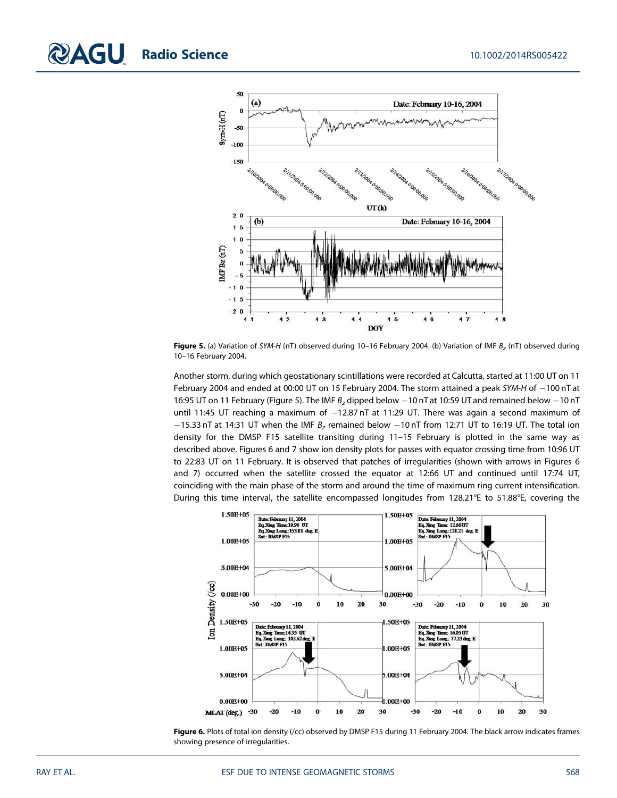

**Figure 5.** (a) Variation of SYM-H (nT) observed during 10–16 February 2004. (b) Variation of IMF  $B_z$  (nT) observed during 10–16 February 2004.

Another storm, during which geostationary scintillations were recorded at Calcutta, started at 11:00 UT on 11 February 2004 and ended at 00:00 UT on 15 February 2004. The storm attained a peak SYM-H of -100 nT at 16:95 UT on 11 February (Figure 5). The IMF  $B<sub>z</sub>$  dipped below  $-10$  nT at 10:59 UT and remained below  $-10$  nT until 11:45 UT reaching a maximum of  $-12.87$  nT at 11:29 UT. There was again a second maximum of  $-15.33$  nT at 14:31 UT when the IMF  $B_z$  remained below  $-10$  nT from 12:71 UT to 16:19 UT. The total ion density for the DMSP F15 satellite transiting during 11–15 February is plotted in the same way as described above. Figures 6 and 7 show ion density plots for passes with equator crossing time from 10:96 UT to 22:83 UT on 11 February. It is observed that patches of irregularities (shown with arrows in Figures 6 and 7) occurred when the satellite crossed the equator at 12:66 UT and continued until 17:74 UT, coinciding with the main phase of the storm and around the time of maximum ring current intensification. During this time interval, the satellite encompassed longitudes from 128.21°E to 51.88°E, covering the



Figure 6. Plots of total ion density (/cc) observed by DMSP F15 during 11 February 2004. The black arrow indicates frames showing presence of irregularities.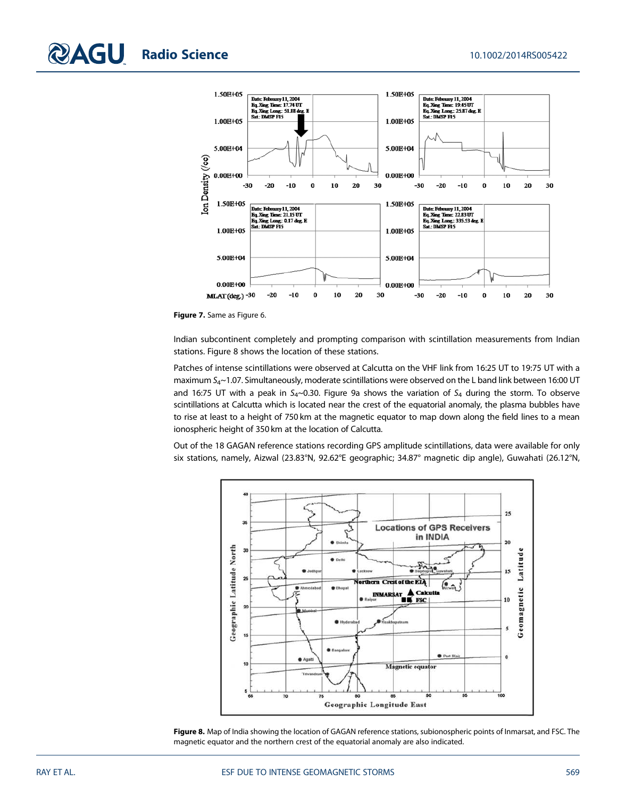

Figure 7. Same as Figure 6.

Indian subcontinent completely and prompting comparison with scintillation measurements from Indian stations. Figure 8 shows the location of these stations.

Patches of intense scintillations were observed at Calcutta on the VHF link from 16:25 UT to 19:75 UT with a maximum  $S_{4}$ ~1.07. Simultaneously, moderate scintillations were observed on the L band link between 16:00 UT and 16:75 UT with a peak in  $S_4$ ~0.30. Figure 9a shows the variation of  $S_4$  during the storm. To observe scintillations at Calcutta which is located near the crest of the equatorial anomaly, the plasma bubbles have to rise at least to a height of 750 km at the magnetic equator to map down along the field lines to a mean ionospheric height of 350 km at the location of Calcutta.

Out of the 18 GAGAN reference stations recording GPS amplitude scintillations, data were available for only six stations, namely, Aizwal (23.83°N, 92.62°E geographic; 34.87° magnetic dip angle), Guwahati (26.12°N,



Figure 8. Map of India showing the location of GAGAN reference stations, subionospheric points of Inmarsat, and FSC. The magnetic equator and the northern crest of the equatorial anomaly are also indicated.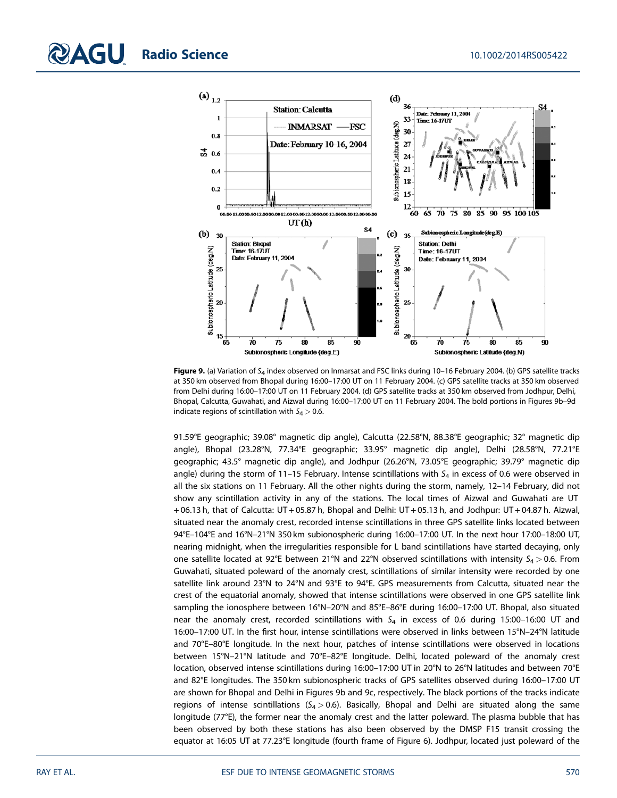

Figure 9. (a) Variation of  $S_4$  index observed on Inmarsat and FSC links during 10-16 February 2004. (b) GPS satellite tracks at 350 km observed from Bhopal during 16:00–17:00 UT on 11 February 2004. (c) GPS satellite tracks at 350 km observed from Delhi during 16:00–17:00 UT on 11 February 2004. (d) GPS satellite tracks at 350 km observed from Jodhpur, Delhi, Bhopal, Calcutta, Guwahati, and Aizwal during 16:00–17:00 UT on 11 February 2004. The bold portions in Figures 9b–9d indicate regions of scintillation with  $S_4 > 0.6$ .

91.59°E geographic; 39.08° magnetic dip angle), Calcutta (22.58°N, 88.38°E geographic; 32° magnetic dip angle), Bhopal (23.28°N, 77.34°E geographic; 33.95° magnetic dip angle), Delhi (28.58°N, 77.21°E geographic; 43.5° magnetic dip angle), and Jodhpur (26.26°N, 73.05°E geographic; 39.79° magnetic dip angle) during the storm of 11–15 February. Intense scintillations with  $S<sub>4</sub>$  in excess of 0.6 were observed in all the six stations on 11 February. All the other nights during the storm, namely, 12–14 February, did not show any scintillation activity in any of the stations. The local times of Aizwal and Guwahati are UT + 06.13 h, that of Calcutta: UT + 05.87 h, Bhopal and Delhi: UT + 05.13 h, and Jodhpur: UT + 04.87 h. Aizwal, situated near the anomaly crest, recorded intense scintillations in three GPS satellite links located between 94°E–104°E and 16°N–21°N 350 km subionospheric during 16:00–17:00 UT. In the next hour 17:00–18:00 UT, nearing midnight, when the irregularities responsible for L band scintillations have started decaying, only one satellite located at 92°E between 21°N and 22°N observed scintillations with intensity  $S_4 > 0.6$ . From Guwahati, situated poleward of the anomaly crest, scintillations of similar intensity were recorded by one satellite link around 23°N to 24°N and 93°E to 94°E. GPS measurements from Calcutta, situated near the crest of the equatorial anomaly, showed that intense scintillations were observed in one GPS satellite link sampling the ionosphere between 16°N–20°N and 85°E–86°E during 16:00–17:00 UT. Bhopal, also situated near the anomaly crest, recorded scintillations with  $S_4$  in excess of 0.6 during 15:00-16:00 UT and 16:00–17:00 UT. In the first hour, intense scintillations were observed in links between 15°N–24°N latitude and 70°E–80°E longitude. In the next hour, patches of intense scintillations were observed in locations between 15°N–21°N latitude and 70°E–82°E longitude. Delhi, located poleward of the anomaly crest location, observed intense scintillations during 16:00–17:00 UT in 20°N to 26°N latitudes and between 70°E and 82°E longitudes. The 350 km subionospheric tracks of GPS satellites observed during 16:00–17:00 UT are shown for Bhopal and Delhi in Figures 9b and 9c, respectively. The black portions of the tracks indicate regions of intense scintillations ( $S_4 > 0.6$ ). Basically, Bhopal and Delhi are situated along the same longitude (77°E), the former near the anomaly crest and the latter poleward. The plasma bubble that has been observed by both these stations has also been observed by the DMSP F15 transit crossing the equator at 16:05 UT at 77.23°E longitude (fourth frame of Figure 6). Jodhpur, located just poleward of the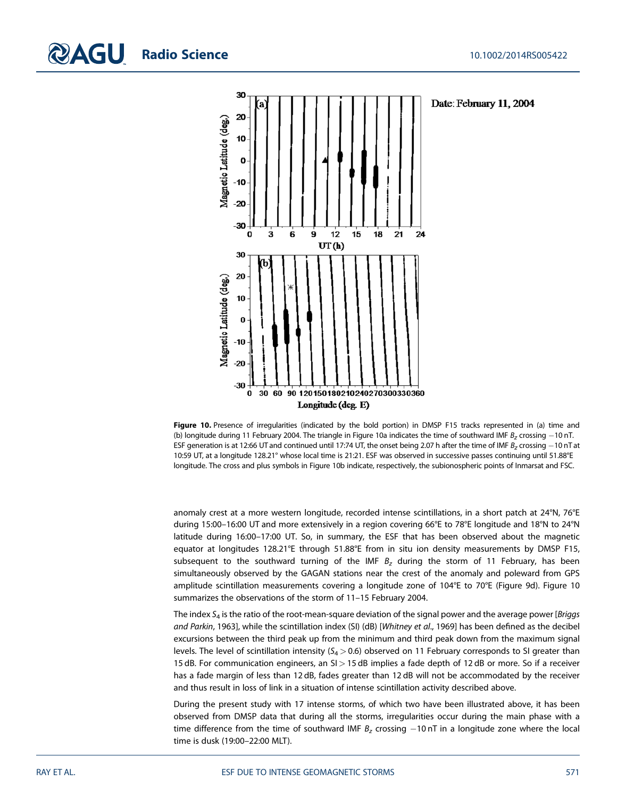

Figure 10. Presence of irregularities (indicated by the bold portion) in DMSP F15 tracks represented in (a) time and (b) longitude during 11 February 2004. The triangle in Figure 10a indicates the time of southward IMF  $B<sub>z</sub>$  crossing -10 nT. ESF generation is at 12:66 UT and continued until 17:74 UT, the onset being 2.07 h after the time of IMF  $B<sub>z</sub>$  crossing  $-10$  nT at 10:59 UT, at a longitude 128.21° whose local time is 21:21. ESF was observed in successive passes continuing until 51.88°E longitude. The cross and plus symbols in Figure 10b indicate, respectively, the subionospheric points of Inmarsat and FSC.

anomaly crest at a more western longitude, recorded intense scintillations, in a short patch at 24°N, 76°E during 15:00–16:00 UT and more extensively in a region covering 66°E to 78°E longitude and 18°N to 24°N latitude during 16:00–17:00 UT. So, in summary, the ESF that has been observed about the magnetic equator at longitudes 128.21°E through 51.88°E from in situ ion density measurements by DMSP F15, subsequent to the southward turning of the IMF  $B<sub>z</sub>$  during the storm of 11 February, has been simultaneously observed by the GAGAN stations near the crest of the anomaly and poleward from GPS amplitude scintillation measurements covering a longitude zone of 104°E to 70°E (Figure 9d). Figure 10 summarizes the observations of the storm of 11–15 February 2004.

The index  $S<sub>4</sub>$  is the ratio of the root-mean-square deviation of the signal power and the average power [Briggs] and Parkin, 1963], while the scintillation index (SI) (dB) [Whitney et al., 1969] has been defined as the decibel excursions between the third peak up from the minimum and third peak down from the maximum signal levels. The level of scintillation intensity ( $S_4 > 0.6$ ) observed on 11 February corresponds to SI greater than 15 dB. For communication engineers, an SI > 15 dB implies a fade depth of 12 dB or more. So if a receiver has a fade margin of less than 12 dB, fades greater than 12 dB will not be accommodated by the receiver and thus result in loss of link in a situation of intense scintillation activity described above.

During the present study with 17 intense storms, of which two have been illustrated above, it has been observed from DMSP data that during all the storms, irregularities occur during the main phase with a time difference from the time of southward IMF  $B<sub>z</sub>$  crossing  $-10$  nT in a longitude zone where the local time is dusk (19:00–22:00 MLT).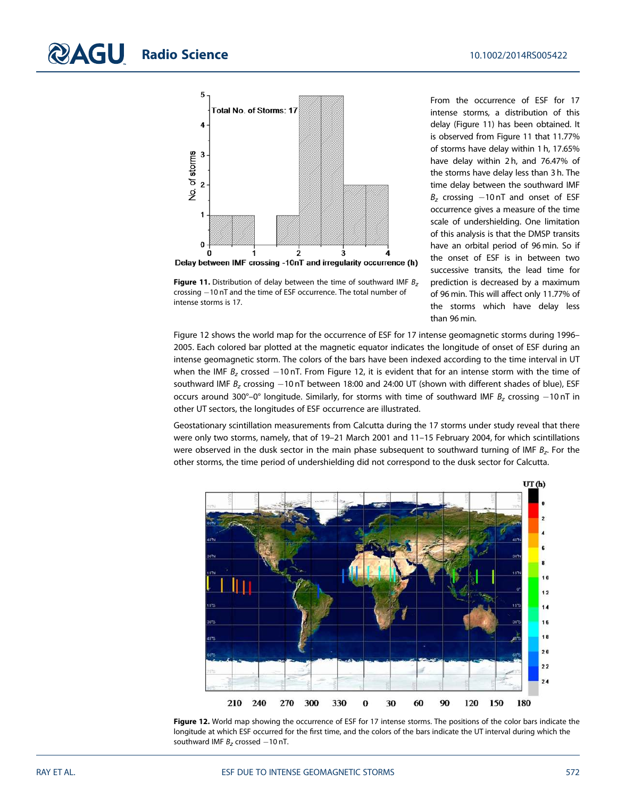

crossing  $-10$  nT and the time of ESF occurrence. The total number of

intense storms is 17.

From the occurrence of ESF for 17 intense storms, a distribution of this delay (Figure 11) has been obtained. It is observed from Figure 11 that 11.77% of storms have delay within 1 h, 17.65% have delay within 2 h, and 76.47% of the storms have delay less than 3 h. The time delay between the southward IMF  $B<sub>z</sub>$  crossing  $-10$  nT and onset of ESF occurrence gives a measure of the time scale of undershielding. One limitation of this analysis is that the DMSP transits have an orbital period of 96 min. So if the onset of ESF is in between two successive transits, the lead time for prediction is decreased by a maximum of 96 min. This will affect only 11.77% of the storms which have delay less than 96 min.

Figure 12 shows the world map for the occurrence of ESF for 17 intense geomagnetic storms during 1996– 2005. Each colored bar plotted at the magnetic equator indicates the longitude of onset of ESF during an intense geomagnetic storm. The colors of the bars have been indexed according to the time interval in UT when the IMF  $B<sub>z</sub>$  crossed -10 nT. From Figure 12, it is evident that for an intense storm with the time of southward IMF  $B_z$  crossing -10 nT between 18:00 and 24:00 UT (shown with different shades of blue), ESF occurs around 300°–0° longitude. Similarly, for storms with time of southward IMF  $B<sub>z</sub>$  crossing -10 nT in other UT sectors, the longitudes of ESF occurrence are illustrated.

Geostationary scintillation measurements from Calcutta during the 17 storms under study reveal that there were only two storms, namely, that of 19–21 March 2001 and 11–15 February 2004, for which scintillations were observed in the dusk sector in the main phase subsequent to southward turning of IMF  $\mathcal{B}_z$ . For the other storms, the time period of undershielding did not correspond to the dusk sector for Calcutta.



Figure 12. World map showing the occurrence of ESF for 17 intense storms. The positions of the color bars indicate the longitude at which ESF occurred for the first time, and the colors of the bars indicate the UT interval during which the southward IMF  $B<sub>z</sub>$  crossed  $-10$  nT.